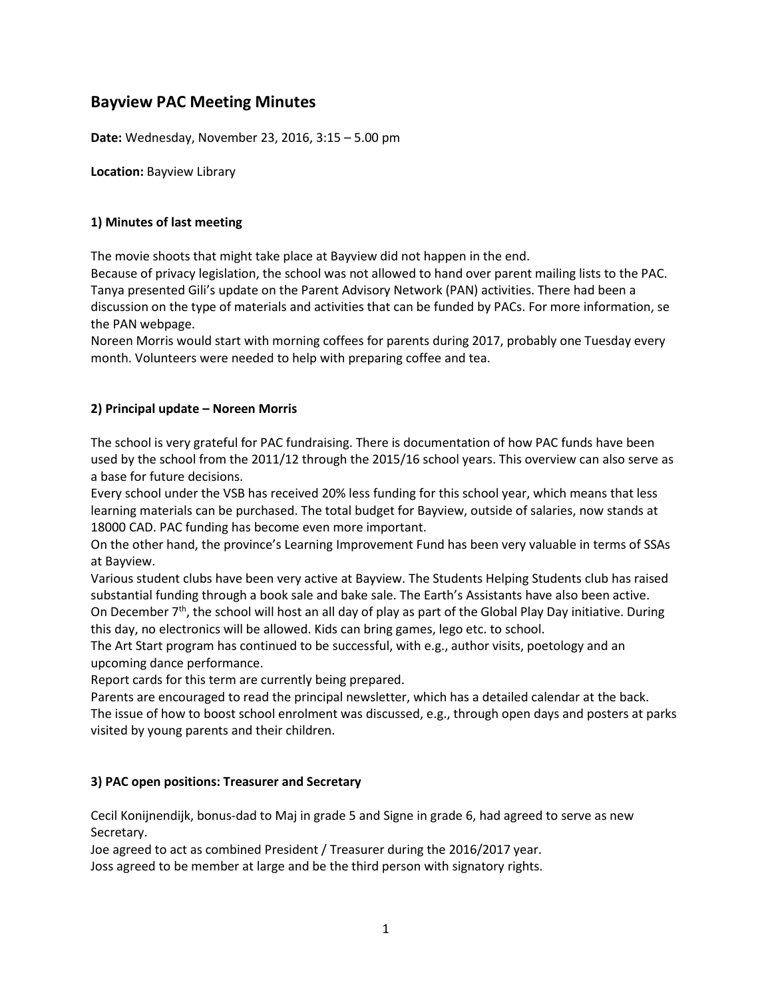# **Bayview PAC Meeting Minutes**

**Date:** Wednesday, November 23, 2016, 3:15 – 5.00 pm

**Location:** Bayview Library

## **1) Minutes of last meeting**

The movie shoots that might take place at Bayview did not happen in the end.

Because of privacy legislation, the school was not allowed to hand over parent mailing lists to the PAC. Tanya presented Gili's update on the Parent Advisory Network (PAN) activities. There had been a discussion on the type of materials and activities that can be funded by PACs. For more information, se the PAN webpage.

Noreen Morris would start with morning coffees for parents during 2017, probably one Tuesday every month. Volunteers were needed to help with preparing coffee and tea.

## **2) Principal update – Noreen Morris**

The school is very grateful for PAC fundraising. There is documentation of how PAC funds have been used by the school from the 2011/12 through the 2015/16 school years. This overview can also serve as a base for future decisions.

Every school under the VSB has received 20% less funding for this school year, which means that less learning materials can be purchased. The total budget for Bayview, outside of salaries, now stands at 18000 CAD. PAC funding has become even more important.

On the other hand, the province's Learning Improvement Fund has been very valuable in terms of SSAs at Bayview.

Various student clubs have been very active at Bayview. The Students Helping Students club has raised substantial funding through a book sale and bake sale. The Earth's Assistants have also been active. On December  $7<sup>th</sup>$ , the school will host an all day of play as part of the Global Play Day initiative. During

this day, no electronics will be allowed. Kids can bring games, lego etc. to school.

The Art Start program has continued to be successful, with e.g., author visits, poetology and an upcoming dance performance.

Report cards for this term are currently being prepared.

Parents are encouraged to read the principal newsletter, which has a detailed calendar at the back. The issue of how to boost school enrolment was discussed, e.g., through open days and posters at parks visited by young parents and their children.

# **3) PAC open positions: Treasurer and Secretary**

Cecil Konijnendijk, bonus-dad to Maj in grade 5 and Signe in grade 6, had agreed to serve as new Secretary.

Joe agreed to act as combined President / Treasurer during the 2016/2017 year.

Joss agreed to be member at large and be the third person with signatory rights.